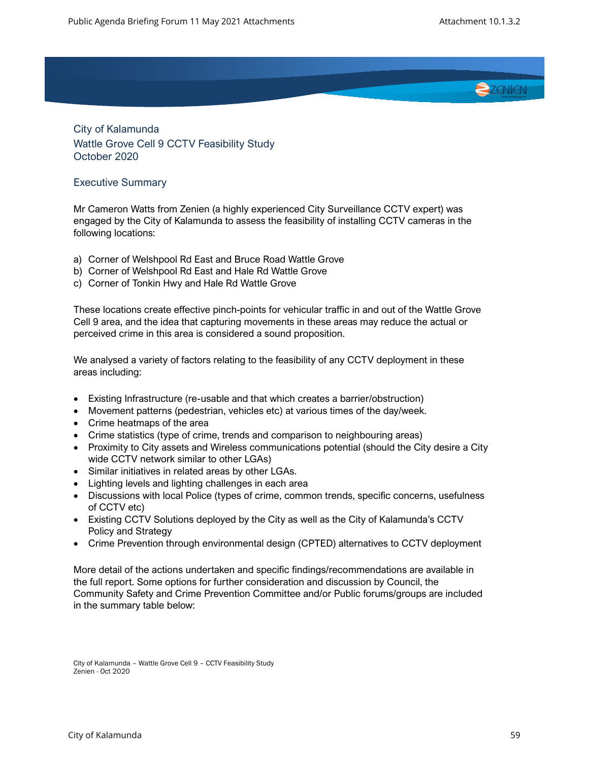

City of Kalamunda Wattle Grove Cell 9 CCTV Feasibility Study October 2020

## Executive Summary

Mr Cameron Watts from Zenien (a highly experienced City Surveillance CCTV expert) was engaged by the City of Kalamunda to assess the feasibility of installing CCTV cameras in the following locations:

- a) Corner of Welshpool Rd East and Bruce Road Wattle Grove
- b) Corner of Welshpool Rd East and Hale Rd Wattle Grove
- c) Corner of Tonkin Hwy and Hale Rd Wattle Grove

These locations create effective pinch-points for vehicular traffic in and out of the Wattle Grove Cell 9 area, and the idea that capturing movements in these areas may reduce the actual or perceived crime in this area is considered a sound proposition.

We analysed a variety of factors relating to the feasibility of any CCTV deployment in these areas including:

- Existing Infrastructure (re-usable and that which creates a barrier/obstruction)
- Movement patterns (pedestrian, vehicles etc) at various times of the day/week.
- Crime heatmaps of the area
- Crime statistics (type of crime, trends and comparison to neighbouring areas)
- Proximity to City assets and Wireless communications potential (should the City desire a City wide CCTV network similar to other LGAs)
- Similar initiatives in related areas by other LGAs.
- Lighting levels and lighting challenges in each area
- Discussions with local Police (types of crime, common trends, specific concerns, usefulness of CCTV etc)
- Existing CCTV Solutions deployed by the City as well as the City of Kalamunda's CCTV Policy and Strategy
- Crime Prevention through environmental design (CPTED) alternatives to CCTV deployment

More detail of the actions undertaken and specific findings/recommendations are available in the full report. Some options for further consideration and discussion by Council, the Community Safety and Crime Prevention Committee and/or Public forums/groups are included in the summary table below:

City of Kalamunda – Wattle Grove Cell 9 – CCTV Feasibility Study Zenien - Oct 2020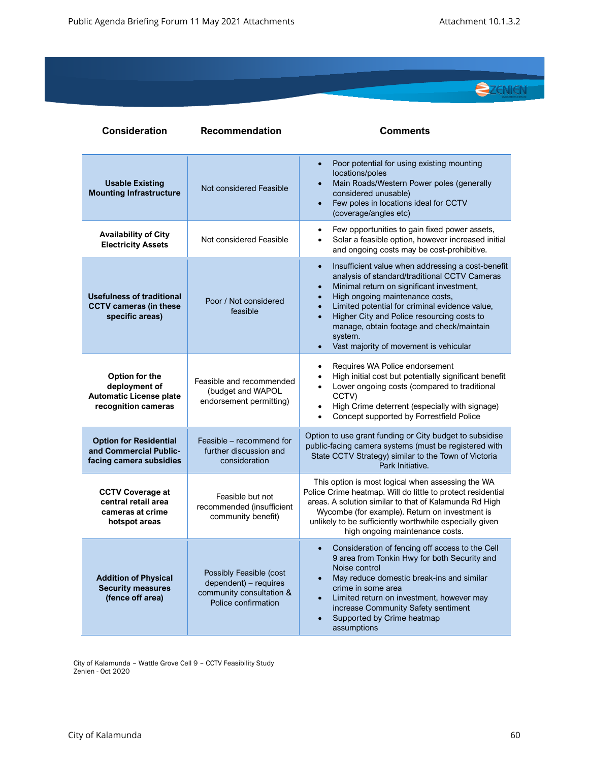

| <b>Consideration</b>                                                                     | <b>Recommendation</b>                                                                               | <b>Comments</b>                                                                                                                                                                                                                                                                                                                                                                                                                          |
|------------------------------------------------------------------------------------------|-----------------------------------------------------------------------------------------------------|------------------------------------------------------------------------------------------------------------------------------------------------------------------------------------------------------------------------------------------------------------------------------------------------------------------------------------------------------------------------------------------------------------------------------------------|
| <b>Usable Existing</b><br><b>Mounting Infrastructure</b>                                 | Not considered Feasible                                                                             | Poor potential for using existing mounting<br>$\bullet$<br>locations/poles<br>Main Roads/Western Power poles (generally<br>$\bullet$<br>considered unusable)<br>Few poles in locations ideal for CCTV<br>$\bullet$<br>(coverage/angles etc)                                                                                                                                                                                              |
| <b>Availability of City</b><br><b>Electricity Assets</b>                                 | Not considered Feasible                                                                             | Few opportunities to gain fixed power assets,<br>$\bullet$<br>Solar a feasible option, however increased initial<br>$\bullet$<br>and ongoing costs may be cost-prohibitive.                                                                                                                                                                                                                                                              |
| <b>Usefulness of traditional</b><br><b>CCTV cameras (in these</b><br>specific areas)     | Poor / Not considered<br>feasible                                                                   | Insufficient value when addressing a cost-benefit<br>$\bullet$<br>analysis of standard/traditional CCTV Cameras<br>Minimal return on significant investment,<br>$\bullet$<br>High ongoing maintenance costs,<br>$\bullet$<br>Limited potential for criminal evidence value,<br>Higher City and Police resourcing costs to<br>$\bullet$<br>manage, obtain footage and check/maintain<br>system.<br>Vast majority of movement is vehicular |
| Option for the<br>deployment of<br><b>Automatic License plate</b><br>recognition cameras | Feasible and recommended<br>(budget and WAPOL<br>endorsement permitting)                            | Requires WA Police endorsement<br>$\bullet$<br>High initial cost but potentially significant benefit<br>$\bullet$<br>Lower ongoing costs (compared to traditional<br>$\bullet$<br>CCTV)<br>High Crime deterrent (especially with signage)<br>$\bullet$<br>Concept supported by Forrestfield Police                                                                                                                                       |
| <b>Option for Residential</b><br>and Commercial Public-<br>facing camera subsidies       | Feasible – recommend for<br>further discussion and<br>consideration                                 | Option to use grant funding or City budget to subsidise<br>public-facing camera systems (must be registered with<br>State CCTV Strategy) similar to the Town of Victoria<br>Park Initiative.                                                                                                                                                                                                                                             |
| <b>CCTV Coverage at</b><br>central retail area<br>cameras at crime<br>hotspot areas      | Feasible but not<br>recommended (insufficient<br>community benefit)                                 | This option is most logical when assessing the WA<br>Police Crime heatmap. Will do little to protect residential<br>areas. A solution similar to that of Kalamunda Rd High<br>Wycombe (for example). Return on investment is<br>unlikely to be sufficiently worthwhile especially given<br>high ongoing maintenance costs.                                                                                                               |
| <b>Addition of Physical</b><br><b>Security measures</b><br>(fence off area)              | Possibly Feasible (cost<br>dependent) - requires<br>community consultation &<br>Police confirmation | Consideration of fencing off access to the Cell<br>$\bullet$<br>9 area from Tonkin Hwy for both Security and<br>Noise control<br>May reduce domestic break-ins and similar<br>crime in some area<br>Limited return on investment, however may<br>$\bullet$<br>increase Community Safety sentiment<br>Supported by Crime heatmap<br>assumptions                                                                                           |

City of Kalamunda – Wattle Grove Cell 9 – CCTV Feasibility Study Zenien - Oct 2020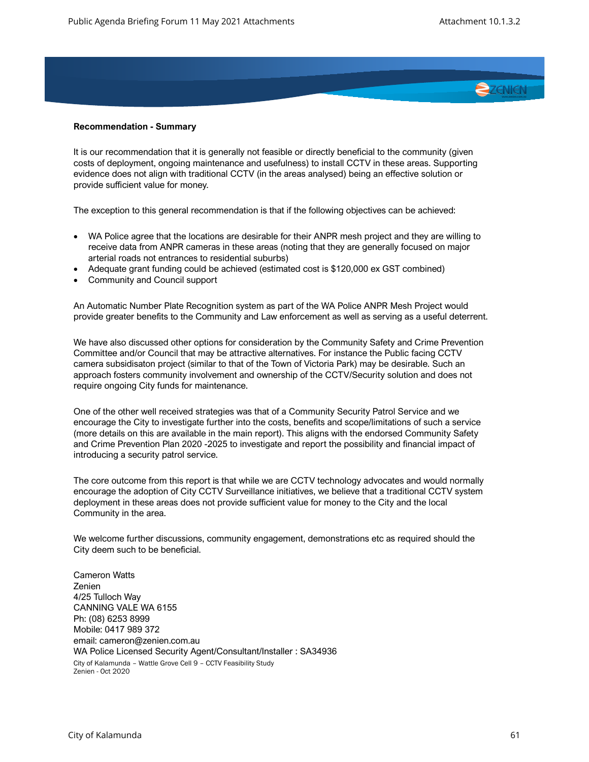

## **Recommendation - Summary**

It is our recommendation that it is generally not feasible or directly beneficial to the community (given costs of deployment, ongoing maintenance and usefulness) to install CCTV in these areas. Supporting evidence does not align with traditional CCTV (in the areas analysed) being an effective solution or provide sufficient value for money.

The exception to this general recommendation is that if the following objectives can be achieved:

- WA Police agree that the locations are desirable for their ANPR mesh project and they are willing to receive data from ANPR cameras in these areas (noting that they are generally focused on major arterial roads not entrances to residential suburbs)
- Adequate grant funding could be achieved (estimated cost is \$120,000 ex GST combined)
- Community and Council support

An Automatic Number Plate Recognition system as part of the WA Police ANPR Mesh Project would provide greater benefits to the Community and Law enforcement as well as serving as a useful deterrent.

We have also discussed other options for consideration by the Community Safety and Crime Prevention Committee and/or Council that may be attractive alternatives. For instance the Public facing CCTV camera subsidisaton project (similar to that of the Town of Victoria Park) may be desirable. Such an approach fosters community involvement and ownership of the CCTV/Security solution and does not require ongoing City funds for maintenance.

One of the other well received strategies was that of a Community Security Patrol Service and we encourage the City to investigate further into the costs, benefits and scope/limitations of such a service (more details on this are available in the main report). This aligns with the endorsed Community Safety and Crime Prevention Plan 2020 -2025 to investigate and report the possibility and financial impact of introducing a security patrol service.

The core outcome from this report is that while we are CCTV technology advocates and would normally encourage the adoption of City CCTV Surveillance initiatives, we believe that a traditional CCTV system deployment in these areas does not provide sufficient value for money to the City and the local Community in the area.

We welcome further discussions, community engagement, demonstrations etc as required should the City deem such to be beneficial.

City of Kalamunda – Wattle Grove Cell 9 – CCTV Feasibility Study Zenien - Oct 2020 Cameron Watts Zenien 4/25 Tulloch Way CANNING VALE WA 6155 Ph: (08) 6253 8999 Mobile: 0417 989 372 email: cameron@zenien.com.au WA Police Licensed Security Agent/Consultant/Installer : SA34936